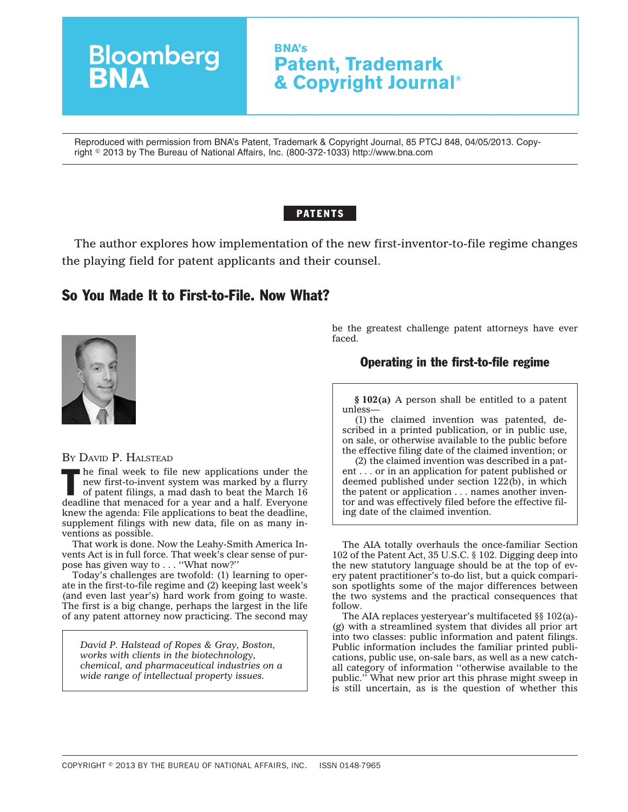# **BNA's Patent, Trademark & Copyright Journal®**

Reproduced with permission from BNA's Patent, Trademark & Copyright Journal, 85 PTCJ 848, 04/05/2013. Copyright - 2013 by The Bureau of National Affairs, Inc. (800-372-1033) http://www.bna.com

### **PATENTS**

The author explores how implementation of the new first-inventor-to-file regime changes the playing field for patent applicants and their counsel.

## So You Made It to First-to-File. Now What?

**Bloomberg**<br>**BNA** 



BY DAVID P. HALSTEAD

 $\blacksquare$  he final week to file new applications under the new first-to-invent system was marked by a flurry of patent filings, a mad dash to beat the March 16 deadline that menaced for a year and a half. Everyone knew the agenda: File applications to beat the deadline, supplement filings with new data, file on as many inventions as possible.

That work is done. Now the Leahy-Smith America Invents Act is in full force. That week's clear sense of purpose has given way to . . . ''What now?''

Today's challenges are twofold: (1) learning to operate in the first-to-file regime and (2) keeping last week's (and even last year's) hard work from going to waste. The first is a big change, perhaps the largest in the life of any patent attorney now practicing. The second may

*David P. Halstead of Ropes & Gray, Boston, works with clients in the biotechnology, chemical, and pharmaceutical industries on a wide range of intellectual property issues.*

be the greatest challenge patent attorneys have ever faced.

### Operating in the first-to-file regime

**§ 102(a)** A person shall be entitled to a patent unless—

(1) the claimed invention was patented, described in a printed publication, or in public use, on sale, or otherwise available to the public before the effective filing date of the claimed invention; or

(2) the claimed invention was described in a patent . . . or in an application for patent published or deemed published under section 122(b), in which the patent or application . . . names another inventor and was effectively filed before the effective filing date of the claimed invention.

The AIA totally overhauls the once-familiar Section 102 of the Patent Act, 35 U.S.C. § 102. Digging deep into the new statutory language should be at the top of every patent practitioner's to-do list, but a quick comparison spotlights some of the major differences between the two systems and the practical consequences that follow.

The AIA replaces yesteryear's multifaceted §§ 102(a)- (g) with a streamlined system that divides all prior art into two classes: public information and patent filings. Public information includes the familiar printed publications, public use, on-sale bars, as well as a new catchall category of information ''otherwise available to the public.'' What new prior art this phrase might sweep in is still uncertain, as is the question of whether this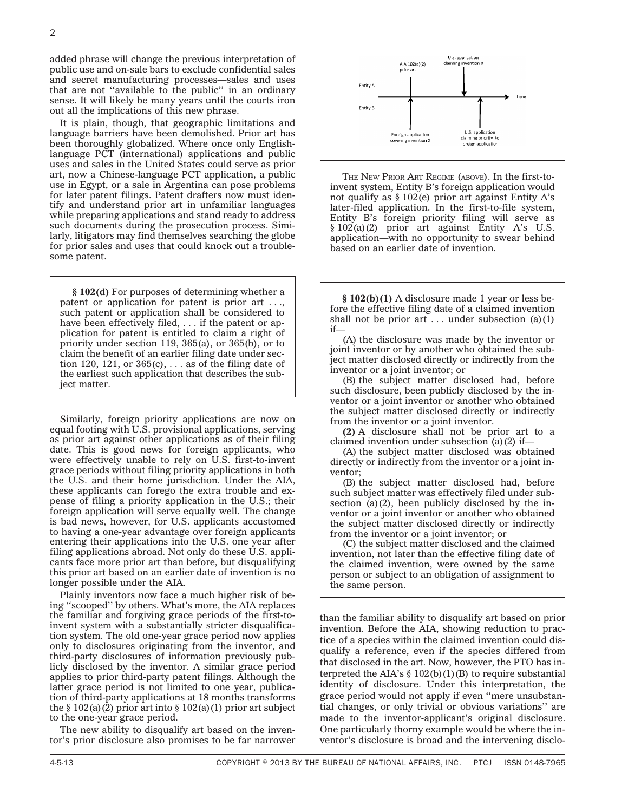added phrase will change the previous interpretation of public use and on-sale bars to exclude confidential sales and secret manufacturing processes—sales and uses that are not ''available to the public'' in an ordinary sense. It will likely be many years until the courts iron out all the implications of this new phrase.

It is plain, though, that geographic limitations and language barriers have been demolished. Prior art has been thoroughly globalized. Where once only Englishlanguage PCT (international) applications and public uses and sales in the United States could serve as prior art, now a Chinese-language PCT application, a public use in Egypt, or a sale in Argentina can pose problems for later patent filings. Patent drafters now must identify and understand prior art in unfamiliar languages while preparing applications and stand ready to address such documents during the prosecution process. Similarly, litigators may find themselves searching the globe for prior sales and uses that could knock out a troublesome patent.

**§ 102(d)** For purposes of determining whether a patent or application for patent is prior art . . ., such patent or application shall be considered to have been effectively filed, . . . if the patent or application for patent is entitled to claim a right of priority under section 119, 365(a), or 365(b), or to claim the benefit of an earlier filing date under section 120, 121, or  $365(c)$ , ... as of the filing date of the earliest such application that describes the subject matter.

Similarly, foreign priority applications are now on equal footing with U.S. provisional applications, serving as prior art against other applications as of their filing date. This is good news for foreign applicants, who were effectively unable to rely on U.S. first-to-invent grace periods without filing priority applications in both the U.S. and their home jurisdiction. Under the AIA, these applicants can forego the extra trouble and expense of filing a priority application in the U.S.; their foreign application will serve equally well. The change is bad news, however, for U.S. applicants accustomed to having a one-year advantage over foreign applicants entering their applications into the U.S. one year after filing applications abroad. Not only do these U.S. applicants face more prior art than before, but disqualifying this prior art based on an earlier date of invention is no longer possible under the AIA.

Plainly inventors now face a much higher risk of being ''scooped'' by others. What's more, the AIA replaces the familiar and forgiving grace periods of the first-toinvent system with a substantially stricter disqualification system. The old one-year grace period now applies only to disclosures originating from the inventor, and third-party disclosures of information previously publicly disclosed by the inventor. A similar grace period applies to prior third-party patent filings. Although the latter grace period is not limited to one year, publication of third-party applications at 18 months transforms the  $\S 102(a)(2)$  prior art into  $\S 102(a)(1)$  prior art subject to the one-year grace period.

The new ability to disqualify art based on the inventor's prior disclosure also promises to be far narrower



THE NEW PRIOR ART REGIME (ABOVE). In the first-toinvent system, Entity B's foreign application would not qualify as  $\S 102(e)$  prior art against Entity A's later-filed application. In the first-to-file system, Entity B's foreign priority filing will serve as § 102(a)(2) prior art against Entity A's U.S. application—with no opportunity to swear behind based on an earlier date of invention.

**§ 102(b)(1)** A disclosure made 1 year or less before the effective filing date of a claimed invention shall not be prior art  $\dots$  under subsection (a)(1) if—

(A) the disclosure was made by the inventor or joint inventor or by another who obtained the subject matter disclosed directly or indirectly from the inventor or a joint inventor; or

(B) the subject matter disclosed had, before such disclosure, been publicly disclosed by the inventor or a joint inventor or another who obtained the subject matter disclosed directly or indirectly from the inventor or a joint inventor.

**(2)** A disclosure shall not be prior art to a claimed invention under subsection  $(a)(2)$  if-

(A) the subject matter disclosed was obtained directly or indirectly from the inventor or a joint inventor;

(B) the subject matter disclosed had, before such subject matter was effectively filed under subsection  $(a)(2)$ , been publicly disclosed by the inventor or a joint inventor or another who obtained the subject matter disclosed directly or indirectly from the inventor or a joint inventor; or

(C) the subject matter disclosed and the claimed invention, not later than the effective filing date of the claimed invention, were owned by the same person or subject to an obligation of assignment to the same person.

than the familiar ability to disqualify art based on prior invention. Before the AIA, showing reduction to practice of a species within the claimed invention could disqualify a reference, even if the species differed from that disclosed in the art. Now, however, the PTO has interpreted the AIA's  $\S 102(b)(1)(B)$  to require substantial identity of disclosure. Under this interpretation, the grace period would not apply if even ''mere unsubstantial changes, or only trivial or obvious variations'' are made to the inventor-applicant's original disclosure. One particularly thorny example would be where the inventor's disclosure is broad and the intervening disclo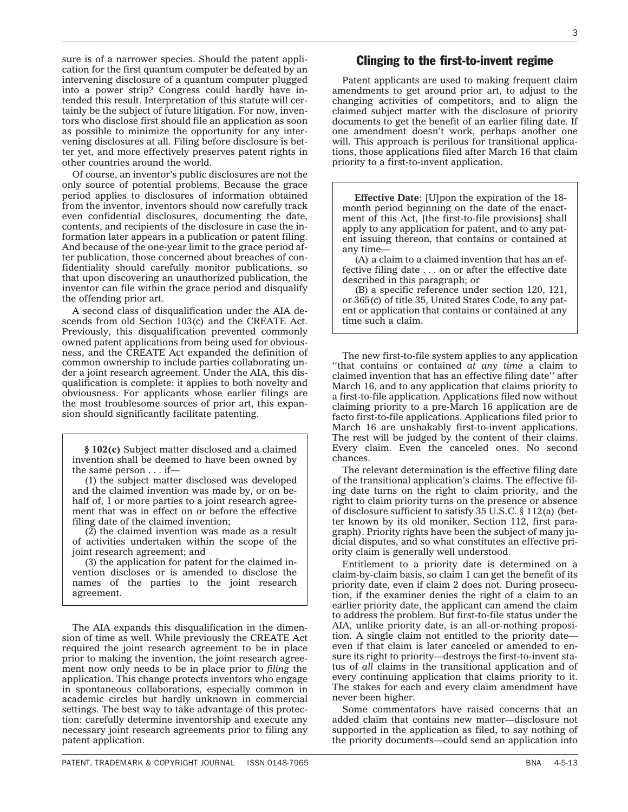sure is of a narrower species. Should the patent application for the first quantum computer be defeated by an intervening disclosure of a quantum computer plugged into a power strip? Congress could hardly have intended this result. Interpretation of this statute will certainly be the subject of future litigation. For now, inventors who disclose first should file an application as soon as possible to minimize the opportunity for any intervening disclosures at all. Filing before disclosure is better yet, and more effectively preserves patent rights in other countries around the world.

Of course, an inventor's public disclosures are not the only source of potential problems. Because the grace period applies to disclosures of information obtained from the inventor, inventors should now carefully track even confidential disclosures, documenting the date, contents, and recipients of the disclosure in case the information later appears in a publication or patent filing. And because of the one-year limit to the grace period after publication, those concerned about breaches of confidentiality should carefully monitor publications, so that upon discovering an unauthorized publication, the inventor can file within the grace period and disqualify the offending prior art.

A second class of disqualification under the AIA descends from old Section 103(c) and the CREATE Act. Previously, this disqualification prevented commonly owned patent applications from being used for obviousness, and the CREATE Act expanded the definition of common ownership to include parties collaborating under a joint research agreement. Under the AIA, this disqualification is complete: it applies to both novelty and obviousness. For applicants whose earlier filings are the most troublesome sources of prior art, this expansion should significantly facilitate patenting.

**§ 102(c)** Subject matter disclosed and a claimed invention shall be deemed to have been owned by the same person . . . if—

(1) the subject matter disclosed was developed and the claimed invention was made by, or on behalf of, 1 or more parties to a joint research agreement that was in effect on or before the effective filing date of the claimed invention;

(2) the claimed invention was made as a result of activities undertaken within the scope of the joint research agreement; and

(3) the application for patent for the claimed invention discloses or is amended to disclose the names of the parties to the joint research agreement.

The AIA expands this disqualification in the dimension of time as well. While previously the CREATE Act required the joint research agreement to be in place prior to making the invention, the joint research agreement now only needs to be in place prior to *filing* the application. This change protects inventors who engage in spontaneous collaborations, especially common in academic circles but hardly unknown in commercial settings. The best way to take advantage of this protection: carefully determine inventorship and execute any necessary joint research agreements prior to filing any patent application.

#### Clinging to the first-to-invent regime

Patent applicants are used to making frequent claim amendments to get around prior art, to adjust to the changing activities of competitors, and to align the claimed subject matter with the disclosure of priority documents to get the benefit of an earlier filing date. If one amendment doesn't work, perhaps another one will. This approach is perilous for transitional applications, those applications filed after March 16 that claim priority to a first-to-invent application.

**Effective Date**: [U]pon the expiration of the 18 month period beginning on the date of the enactment of this Act, [the first-to-file provisions] shall apply to any application for patent, and to any patent issuing thereon, that contains or contained at any time—

(A) a claim to a claimed invention that has an effective filing date . . . on or after the effective date described in this paragraph; or

(B) a specific reference under section 120, 121, or 365(c) of title 35, United States Code, to any patent or application that contains or contained at any time such a claim.

The new first-to-file system applies to any application ''that contains or contained *at any time* a claim to claimed invention that has an effective filing date'' after March 16, and to any application that claims priority to a first-to-file application. Applications filed now without claiming priority to a pre-March 16 application are de facto first-to-file applications. Applications filed prior to March 16 are unshakably first-to-invent applications. The rest will be judged by the content of their claims. Every claim. Even the canceled ones. No second chances.

The relevant determination is the effective filing date of the transitional application's claims. The effective filing date turns on the right to claim priority, and the right to claim priority turns on the presence or absence of disclosure sufficient to satisfy 35 U.S.C. § 112(a) (better known by its old moniker, Section 112, first paragraph). Priority rights have been the subject of many judicial disputes, and so what constitutes an effective priority claim is generally well understood.

Entitlement to a priority date is determined on a claim-by-claim basis, so claim 1 can get the benefit of its priority date, even if claim 2 does not. During prosecution, if the examiner denies the right of a claim to an earlier priority date, the applicant can amend the claim to address the problem. But first-to-file status under the AIA, unlike priority date, is an all-or-nothing proposition. A single claim not entitled to the priority date even if that claim is later canceled or amended to ensure its right to priority—destroys the first-to-invent status of *all* claims in the transitional application and of every continuing application that claims priority to it. The stakes for each and every claim amendment have never been higher.

Some commentators have raised concerns that an added claim that contains new matter—disclosure not supported in the application as filed, to say nothing of the priority documents—could send an application into